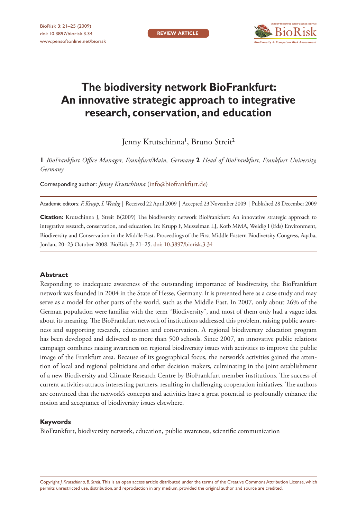

# **The biodiversity network BioFrankfurt: An innovative strategic approach to integrative research, conservation, and education**

Jenny Krutschinna', Bruno Streit<sup>2</sup>

**1** *BioFrankfurt Office Manager, Frankfurt/Main, Germany* 2 *Head of BioFrankfurt, Frankfurt University*, *Germany*

Corresponding author: *Jenny Krutschinna* ([info@biofrankfurt.de\)](mailto:info@biofrankfurt.de)

Academic editors: *F. Krupp, I. Weidig* | Received 22 April 2009 | Accepted 23 November 2009 | Published 28 December 2009

**Citation:** Krutschinna J, Streit B(2009) The biodiversity network BioFrankfurt: An innovative strategic approach to integrative research, conservation, and education. In: Krupp F, Musselman LJ, Kotb MMA, Weidig I (Eds) Environment, Biodiversity and Conservation in the Middle East. Proceedings of the First Middle Eastern Biodiversity Congress, Aqaba, Jordan, 20–23 October 2008. BioRisk 3: 21–25. [doi: 10.3897/biorisk.3.34](http://dx.doi.org/10.3897/biorisk.3.34)

#### **Abstract**

Responding to inadequate awareness of the outstanding importance of biodiversity, the BioFrankfurt network was founded in 2004 in the State of Hesse, Germany. It is presented here as a case study and may serve as a model for other parts of the world, such as the Middle East. In 2007, only about 26% of the German population were familiar with the term "Biodiversity", and most of them only had a vague idea about its meaning. The BioFrankfurt network of institutions addressed this problem, raising public awareness and supporting research, education and conservation. A regional biodiversity education program has been developed and delivered to more than 500 schools. Since 2007, an innovative public relations campaign combines raising awareness on regional biodiversity issues with activities to improve the public image of the Frankfurt area. Because of its geographical focus, the network's activities gained the attention of local and regional politicians and other decision makers, culminating in the joint establishment of a new Biodiversity and Climate Research Centre by BioFrankfurt member institutions. The success of current activities attracts interesting partners, resulting in challenging cooperation initiatives. The authors are convinced that the network's concepts and activities have a great potential to profoundly enhance the notion and acceptance of biodiversity issues elsewhere.

#### **Keywords**

BioFrankfurt, biodiversity network, education, public awareness, scientific communication

Copyright *J. Krutschinna, B. Streit.* This is an open access article distributed under the terms of th[e Creative Commons Attribution License, w](http://creativecommons.org/licenses/by/3.0/)hich permits unrestricted use, distribution, and reproduction in any medium, provided the original author and source are credited.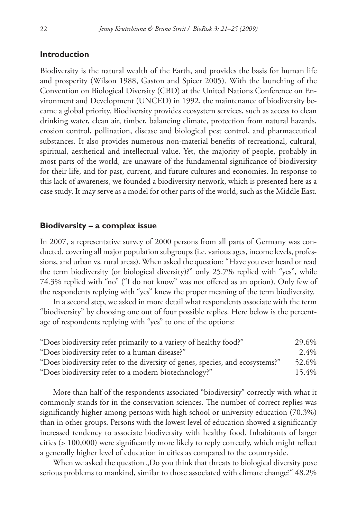## **Introduction**

Biodiversity is the natural wealth of the Earth, and provides the basis for human life and prosperity (Wilson 1988, Gaston and Spicer 2005). With the launching of the Convention on Biological Diversity (CBD) at the United Nations Conference on Environment and Development (UNCED) in 1992, the maintenance of biodiversity became a global priority. Biodiversity provides ecosystem services, such as access to clean drinking water, clean air, timber, balancing climate, protection from natural hazards, erosion control, pollination, disease and biological pest control, and pharmaceutical substances. It also provides numerous non-material benefits of recreational, cultural, spiritual, aesthetical and intellectual value. Yet, the majority of people, probably in most parts of the world, are unaware of the fundamental significance of biodiversity for their life, and for past, current, and future cultures and economies. In response to this lack of awareness, we founded a biodiversity network, which is presented here as a case study. It may serve as a model for other parts of the world, such as the Middle East.

### **Biodiversity – a complex issue**

In 2007, a representative survey of 2000 persons from all parts of Germany was conducted, covering all major population subgroups (i.e. various ages, income levels, professions, and urban vs. rural areas). When asked the question: "Have you ever heard or read the term biodiversity (or biological diversity)?" only 25.7% replied with "yes", while 74.3% replied with "no" ("I do not know" was not offered as an option). Only few of the respondents replying with "yes" knew the proper meaning of the term biodiversity.

In a second step, we asked in more detail what respondents associate with the term "biodiversity" by choosing one out of four possible replies. Here below is the percentage of respondents replying with "yes" to one of the options:

| "Does biodiversity refer primarily to a variety of healthy food?"<br>"Does biodiversity refer to a human disease?"<br>"Does biodiversity refer to the diversity of genes, species, and ecosystems?"<br>"Does biodiversity refer to a modern biotechnology?" | 29.6%<br>2.4%<br>52.6%<br>15.4% |
|-------------------------------------------------------------------------------------------------------------------------------------------------------------------------------------------------------------------------------------------------------------|---------------------------------|
|-------------------------------------------------------------------------------------------------------------------------------------------------------------------------------------------------------------------------------------------------------------|---------------------------------|

More than half of the respondents associated "biodiversity" correctly with what it commonly stands for in the conservation sciences. The number of correct replies was significantly higher among persons with high school or university education (70.3%) than in other groups. Persons with the lowest level of education showed a significantly increased tendency to associate biodiversity with healthy food. Inhabitants of larger cities ( $> 100,000$ ) were significantly more likely to reply correctly, which might reflect a generally higher level of education in cities as compared to the countryside.

When we asked the question "Do you think that threats to biological diversity pose serious problems to mankind, similar to those associated with climate change?" 48.2%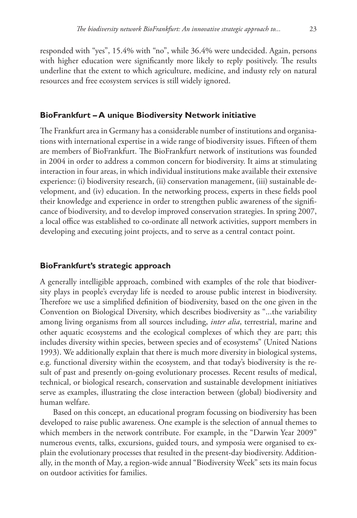responded with "yes", 15.4% with "no", while 36.4% were undecided. Again, persons with higher education were significantly more likely to reply positively. The results underline that the extent to which agriculture, medicine, and industy rely on natural resources and free ecosystem services is still widely ignored.

#### **BioFrankfurt – A unique Biodiversity Network initiative**

The Frankfurt area in Germany has a considerable number of institutions and organisations with international expertise in a wide range of biodiversity issues. Fifteen of them are members of BioFrankfurt. The BioFrankfurt network of institutions was founded in 2004 in order to address a common concern for biodiversity. It aims at stimulating interaction in four areas, in which individual institutions make available their extensive experience: (i) biodiversity research, (ii) conservation management, (iii) sustainable development, and (iv) education. In the networking process, experts in these fields pool their knowledge and experience in order to strengthen public awareness of the significance of biodiversity, and to develop improved conservation strategies. In spring 2007, a local office was established to co-ordinate all network activities, support members in developing and executing joint projects, and to serve as a central contact point.

## **BioFrankfurt's strategic approach**

A generally intelligible approach, combined with examples of the role that biodiversity plays in people's everyday life is needed to arouse public interest in biodiversity. Therefore we use a simplified definition of biodiversity, based on the one given in the Convention on Biological Diversity, which describes biodiversity as "...the variability among living organisms from all sources including, *inter alia*, terrestrial, marine and other aquatic ecosystems and the ecological complexes of which they are part; this includes diversity within species, between species and of ecosystems" (United Nations 1993). We additionally explain that there is much more diversity in biological systems, e.g. functional diversity within the ecosystem, and that today's biodiversity is the result of past and presently on-going evolutionary processes. Recent results of medical, technical, or biological research, conservation and sustainable development initiatives serve as examples, illustrating the close interaction between (global) biodiversity and human welfare.

Based on this concept, an educational program focussing on biodiversity has been developed to raise public awareness. One example is the selection of annual themes to which members in the network contribute. For example, in the "Darwin Year 2009" numerous events, talks, excursions, guided tours, and symposia were organised to explain the evolutionary processes that resulted in the present-day biodiversity. Additionally, in the month of May, a region-wide annual "Biodiversity Week" sets its main focus on outdoor activities for families.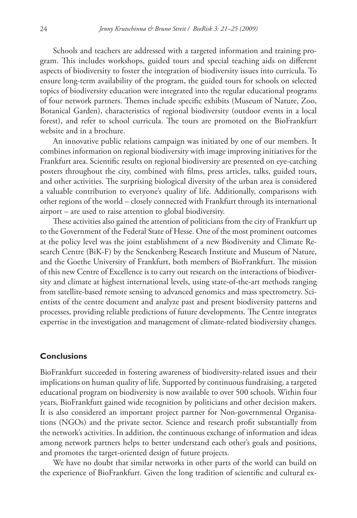Schools and teachers are addressed with a targeted information and training program. This includes workshops, guided tours and special teaching aids on different aspects of biodiversity to foster the integration of biodiversity issues into curricula. To ensure long-term availability of the program, the guided tours for schools on selected topics of biodiversity education were integrated into the regular educational programs of four network partners. Themes include specific exhibits (Museum of Nature, Zoo, Botanical Garden), characteristics of regional biodiversity (outdoor events in a local forest), and refer to school curricula. The tours are promoted on the BioFrankfurt website and in a brochure.

An innovative public relations campaign was initiated by one of our members. It combines information on regional biodiversity with image improving initiatives for the Frankfurt area. Scientific results on regional biodiversity are presented on eye-catching posters throughout the city, combined with films, press articles, talks, guided tours, and other activities. The surprising biological diversity of the urban area is considered a valuable contribution to everyone's quality of life. Additionally, comparisons with other regions of the world – closely connected with Frankfurt through its international airport – are used to raise attention to global biodiversity.

These activities also gained the attention of politicians from the city of Frankfurt up to the Government of the Federal State of Hesse. One of the most prominent outcomes at the policy level was the joint establishment of a new Biodiversity and Climate Research Centre (BiK-F) by the Senckenberg Research Institute and Museum of Nature, and the Goethe University of Frankfurt, both members of BioFrankfurt. The mission of this new Centre of Excellence is to carry out research on the interactions of biodiversity and climate at highest international levels, using state-of-the-art methods ranging from satellite-based remote sensing to advanced genomics and mass spectrometry. Scientists of the centre document and analyze past and present biodiversity patterns and processes, providing reliable predictions of future developments. The Centre integrates expertise in the investigation and management of climate-related biodiversity changes.

## **Conclusions**

BioFrankfurt succeeded in fostering awareness of biodiversity-related issues and their implications on human quality of life. Supported by continuous fundraising, a targeted educational program on biodiversity is now available to over 500 schools. Within four years, BioFrankfurt gained wide recognition by politicians and other decision makers. It is also considered an important project partner for Non-governmental Organisations (NGOs) and the private sector. Science and research profit substantially from the network's activities. In addition, the continuous exchange of information and ideas among network partners helps to better understand each other's goals and positions, and promotes the target-oriented design of future projects.

We have no doubt that similar networks in other parts of the world can build on the experience of BioFrankfurt. Given the long tradition of scientific and cultural ex